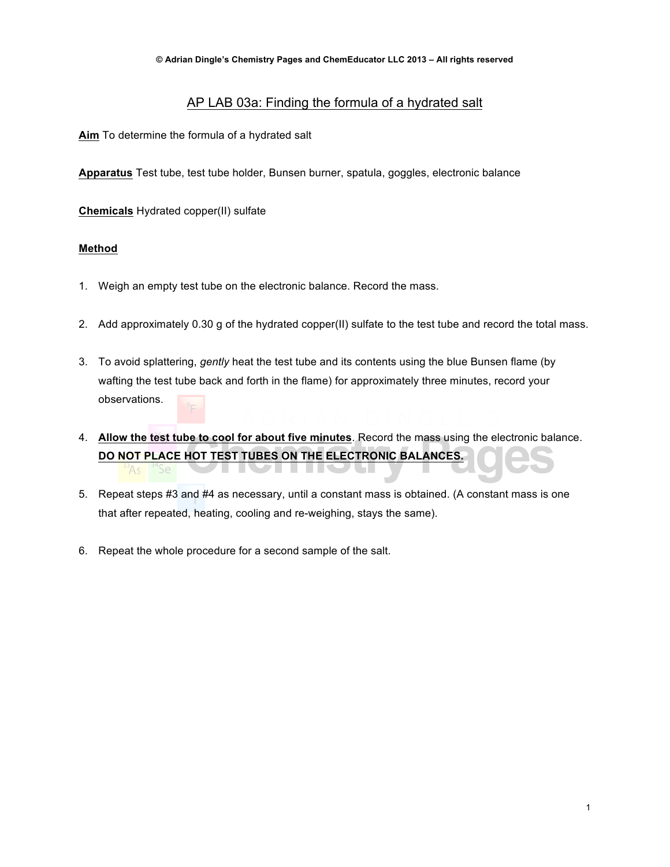## AP LAB 03a: Finding the formula of a hydrated salt

**Aim** To determine the formula of a hydrated salt

**Apparatus** Test tube, test tube holder, Bunsen burner, spatula, goggles, electronic balance

**Chemicals** Hydrated copper(II) sulfate

### **Method**

- 1. Weigh an empty test tube on the electronic balance. Record the mass.
- 2. Add approximately 0.30 g of the hydrated copper(II) sulfate to the test tube and record the total mass.
- 3. To avoid splattering, *gently* heat the test tube and its contents using the blue Bunsen flame (by wafting the test tube back and forth in the flame) for approximately three minutes, record your observations.
- 4. **Allow the test tube to cool for about five minutes**. Record the mass using the electronic balance. **DO NOT PLACE HOT TEST TUBES ON THE ELECTRONIC BALANCES.**
- 5. Repeat steps #3 and #4 as necessary, until a constant mass is obtained. (A constant mass is one that after repeated, heating, cooling and re-weighing, stays the same).
- 6. Repeat the whole procedure for a second sample of the salt.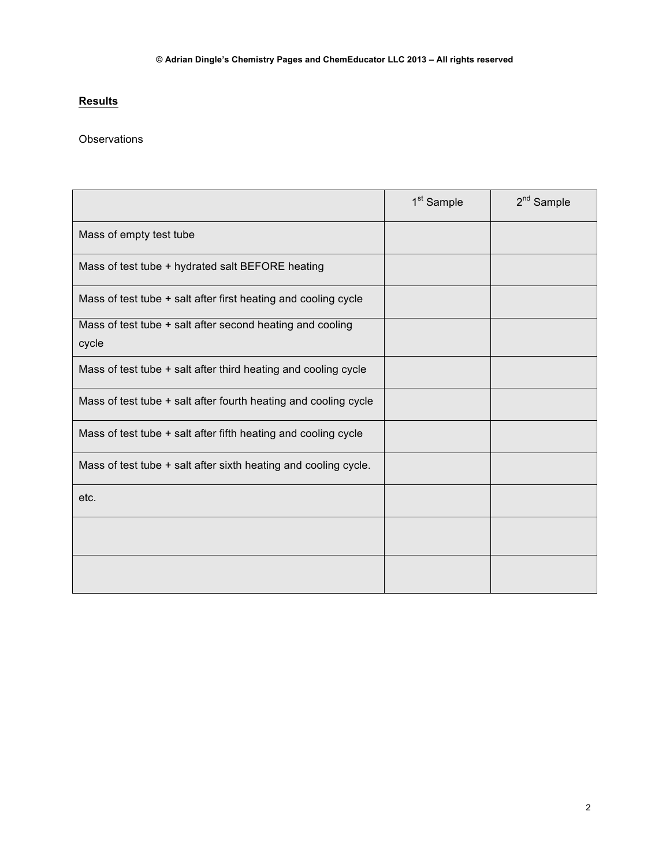# **Results**

### **Observations**

|                                                                    | 1 <sup>st</sup> Sample | $2nd$ Sample |
|--------------------------------------------------------------------|------------------------|--------------|
| Mass of empty test tube                                            |                        |              |
| Mass of test tube + hydrated salt BEFORE heating                   |                        |              |
| Mass of test tube + salt after first heating and cooling cycle     |                        |              |
| Mass of test tube + salt after second heating and cooling<br>cycle |                        |              |
| Mass of test tube + salt after third heating and cooling cycle     |                        |              |
| Mass of test tube + salt after fourth heating and cooling cycle    |                        |              |
| Mass of test tube + salt after fifth heating and cooling cycle     |                        |              |
| Mass of test tube + salt after sixth heating and cooling cycle.    |                        |              |
| etc.                                                               |                        |              |
|                                                                    |                        |              |
|                                                                    |                        |              |